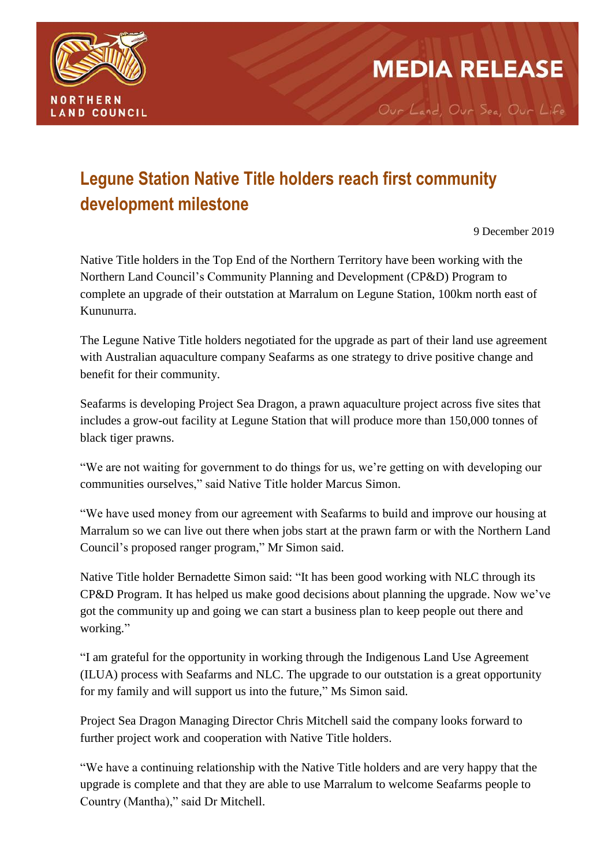

## **Legune Station Native Title holders reach first community development milestone**

9 December 2019

**MEDIA RELEASE** 

Our Land, Our Sea, Our Life

Native Title holders in the Top End of the Northern Territory have been working with the Northern Land Council's Community Planning and Development (CP&D) Program to complete an upgrade of their outstation at Marralum on Legune Station, 100km north east of Kununurra.

The Legune Native Title holders negotiated for the upgrade as part of their land use agreement with Australian aquaculture company Seafarms as one strategy to drive positive change and benefit for their community.

Seafarms is developing Project Sea Dragon, a prawn aquaculture project across five sites that includes a grow-out facility at Legune Station that will produce more than 150,000 tonnes of black tiger prawns.

"We are not waiting for government to do things for us, we're getting on with developing our communities ourselves," said Native Title holder Marcus Simon.

"We have used money from our agreement with Seafarms to build and improve our housing at Marralum so we can live out there when jobs start at the prawn farm or with the Northern Land Council's proposed ranger program," Mr Simon said.

Native Title holder Bernadette Simon said: "It has been good working with NLC through its CP&D Program. It has helped us make good decisions about planning the upgrade. Now we've got the community up and going we can start a business plan to keep people out there and working."

"I am grateful for the opportunity in working through the Indigenous Land Use Agreement (ILUA) process with Seafarms and NLC. The upgrade to our outstation is a great opportunity for my family and will support us into the future," Ms Simon said.

Project Sea Dragon Managing Director Chris Mitchell said the company looks forward to further project work and cooperation with Native Title holders.

"We have a continuing relationship with the Native Title holders and are very happy that the upgrade is complete and that they are able to use Marralum to welcome Seafarms people to Country (Mantha)," said Dr Mitchell.